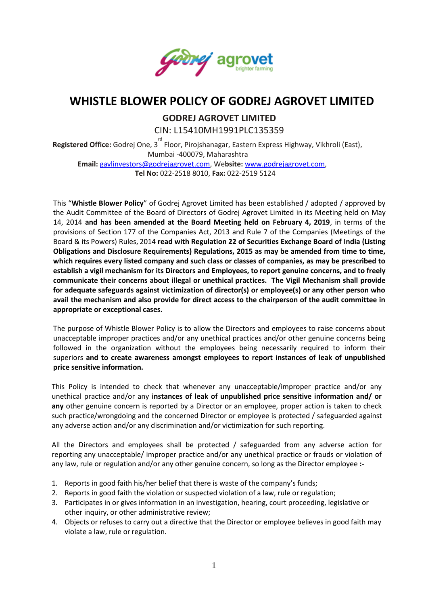

## **WHISTLE BLOWER POLICY OF GODREJ AGROVET LIMITED**

 **GODREJ AGROVET LIMITED** CIN: L15410MH1991PLC135359

Registered Office: Godrej One, 3<sup>rd</sup> Floor, Pirojshanagar, Eastern Express Highway, Vikhroli (East), Mumbai -400079, Maharashtra

**Email:** [gavlinvestors@godrejagrovet.com,](mailto:gavlinvestors@godrejagrovet.com) We**bsite:** [www.godrejagrovet.com,](http://www.godrejagrovet.com/) **Tel No:** 022-2518 8010, **Fax:** 022-2519 5124

This "**Whistle Blower Policy**" of Godrej Agrovet Limited has been established / adopted / approved by the Audit Committee of the Board of Directors of Godrej Agrovet Limited in its Meeting held on May 14, 2014 **and has been amended at the Board Meeting held on February 4, 2019**, in terms of the provisions of Section 177 of the Companies Act, 2013 and Rule 7 of the Companies (Meetings of the Board & its Powers) Rules, 2014 **read with Regulation 22 of Securities Exchange Board of India (Listing Obligations and Disclosure Requirements) Regulations, 2015 as may be amended from time to time, which requires every listed company and such class or classes of companies, as may be prescribed to establish a vigil mechanism for its Directors and Employees, to report genuine concerns, and to freely communicate their concerns about illegal or unethical practices. The Vigil Mechanism shall provide for adequate safeguards against victimization of director(s) or employee(s) or any other person who avail the mechanism and also provide for direct access to the chairperson of the audit committee in appropriate or exceptional cases.**

The purpose of Whistle Blower Policy is to allow the Directors and employees to raise concerns about unacceptable improper practices and/or any unethical practices and/or other genuine concerns being followed in the organization without the employees being necessarily required to inform their superiors **and to create awareness amongst employees to report instances of leak of unpublished price sensitive information.**

This Policy is intended to check that whenever any unacceptable/improper practice and/or any unethical practice and/or any **instances of leak of unpublished price sensitive information and/ or any** other genuine concern is reported by a Director or an employee, proper action is taken to check such practice/wrongdoing and the concerned Director or employee is protected / safeguarded against any adverse action and/or any discrimination and/or victimization for such reporting.

All the Directors and employees shall be protected / safeguarded from any adverse action for reporting any unacceptable/ improper practice and/or any unethical practice or frauds or violation of any law, rule or regulation and/or any other genuine concern, so long as the Director employee **:-**

- 1. Reports in good faith his/her belief that there is waste of the company's funds;
- 2. Reports in good faith the violation or suspected violation of a law, rule or regulation;
- 3. Participates in or gives information in an investigation, hearing, court proceeding, legislative or other inquiry, or other administrative review;
- 4. Objects or refuses to carry out a directive that the Director or employee believes in good faith may violate a law, rule or regulation.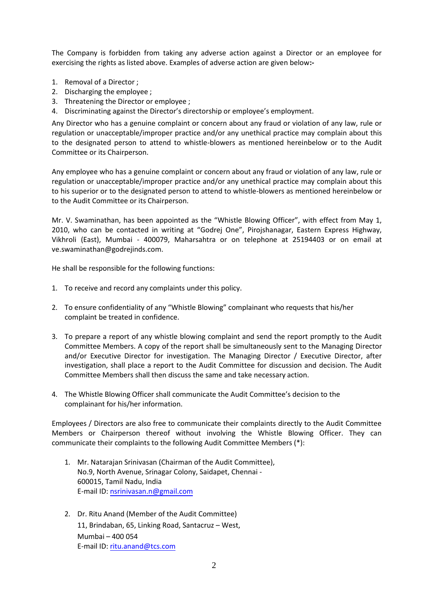The Company is forbidden from taking any adverse action against a Director or an employee for exercising the rights as listed above. Examples of adverse action are given below**:-** 

- 1. Removal of a Director ;
- 2. Discharging the employee ;
- 3. Threatening the Director or employee ;
- 4. Discriminating against the Director's directorship or employee's employment.

Any Director who has a genuine complaint or concern about any fraud or violation of any law, rule or regulation or unacceptable/improper practice and/or any unethical practice may complain about this to the designated person to attend to whistle-blowers as mentioned hereinbelow or to the Audit Committee or its Chairperson.

Any employee who has a genuine complaint or concern about any fraud or violation of any law, rule or regulation or unacceptable/improper practice and/or any unethical practice may complain about this to his superior or to the designated person to attend to whistle-blowers as mentioned hereinbelow or to the Audit Committee or its Chairperson.

Mr. V. Swaminathan, has been appointed as the "Whistle Blowing Officer", with effect from May 1, 2010, who can be contacted in writing at "Godrej One", Pirojshanagar, Eastern Express Highway, Vikhroli (East), Mumbai - 400079, Maharsahtra or on telephone at 25194403 or on [email at](mailto:ve.swaminathan@godrejinds.com)  [ve.swaminathan@godrejinds.com.](mailto:ve.swaminathan@godrejinds.com)

He shall be responsible for the following functions:

- 1. To receive and record any complaints under this policy.
- 2. To ensure confidentiality of any "Whistle Blowing" complainant who requests that his/her complaint be treated in confidence.
- 3. To prepare a report of any whistle blowing complaint and send the report promptly to the Audit Committee Members. A copy of the report shall be simultaneously sent to the Managing Director and/or Executive Director for investigation. The Managing Director / Executive Director, after investigation, shall place a report to the Audit Committee for discussion and decision. The Audit Committee Members shall then discuss the same and take necessary action.
- 4. The Whistle Blowing Officer shall communicate the Audit Committee's decision to the complainant for his/her information.

Employees / Directors are also free to communicate their complaints directly to the Audit Committee Members or Chairperson thereof without involving the Whistle Blowing Officer. They can communicate their complaints to the following Audit Committee Members (\*):

- 1. Mr. Natarajan Srinivasan (Chairman of the Audit Committee), No.9, North Avenue, Srinagar Colony, Saidapet, Chennai - 600015, Tamil Nadu, India E-mail ID: [nsrinivasan.n@gmail.](mailto:kavas@petigara.com)com
- 2. Dr. Ritu Anand (Member of the Audit Committee) 11, Brindaban, 65, Linking Road, Santacruz – West, Mumbai – 400 054 E-mail ID: [ritu.anand@tcs.com](mailto:ritu.anand@tcs.com)